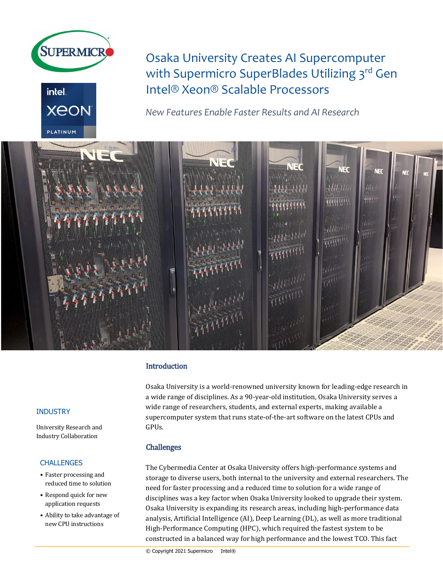



Osaka University Creates AI Supercomputer with Supermicro SuperBlades Utilizing 3<sup>rd</sup> Gen Intel® Xeon® Scalable Processors

*New Features Enable Faster Results and AI Research*



# **Introduction**

Osaka University is a world-renowned university known for leading-edge research in a wide range of disciplines. As a 90-year-old institution, Osaka University serves a wide range of researchers, students, and external experts, making available a supercomputer system that runs state-of-the-art software on the latest CPUs and GPUs.

## Challenges

The Cybermedia Center at Osaka University offers high-performance systems and storage to diverse users, both internal to the university and external researchers. The need for faster processing and a reduced time to solution for a wide range of disciplines was a key factor when Osaka University looked to upgrade their system. Osaka University is expanding its research areas, including high-performance data analysis, Artificial Intelligence (AI), Deep Learning (DL), as well as more traditional High-Performance Computing (HPC), which required the fastest system to be constructed in a balanced way for high performance and the lowest TCO. This fact

Industry Collaboration

## **CHALLENGES**

- Faster processing and reduced time to solution
- Respond quick for new application requests
- Ability to take advantage of new CPU instructions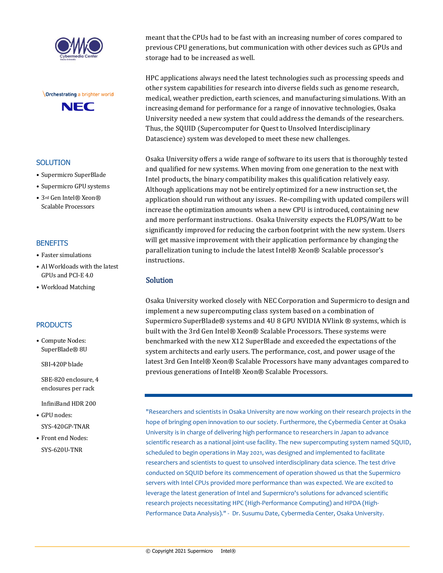



## **SOLUTION**

- Supermicro SuperBlade
- Supermicro GPU systems
- 3rd Gen Intel® Xeon® Scalable Processors

#### **BENEFITS**

- Faster simulations
- AI Workloads with the latest GPUs and PCI-E 4.0
- Workload Matching

## **PRODUCTS**

• Compute Nodes: SuperBlade® 8U

SBI-420P blade

SBE-820 enclosure, 4 enclosures per rack

InfiniBand HDR 200

- GPU nodes: SYS-420GP-TNAR
- Front end Nodes: SYS-620U-TNR

meant that the CPUs had to be fast with an increasing number of cores compared to previous CPU generations, but communication with other devices such as GPUs and storage had to be increased as well.

HPC applications always need the latest technologies such as processing speeds and other system capabilities for research into diverse fields such as genome research, medical, weather prediction, earth sciences, and manufacturing simulations. With an increasing demand for performance for a range of innovative technologies, Osaka University needed a new system that could address the demands of the researchers. Thus, the SQUID (Supercomputer for Quest to Unsolved Interdisciplinary Datascience) system was developed to meet these new challenges.

Osaka University offers a wide range of software to its users that is thoroughly tested and qualified for new systems. When moving from one generation to the next with Intel products, the binary compatibility makes this qualification relatively easy. Although applications may not be entirely optimized for a new instruction set, the application should run without any issues. Re-compiling with updated compilers will increase the optimization amounts when a new CPU is introduced, containing new and more performant instructions. Osaka University expects the FLOPS/Watt to be significantly improved for reducing the carbon footprint with the new system. Users will get massive improvement with their application performance by changing the parallelization tuning to include the latest Intel® Xeon® Scalable processor's instructions.

# **Solution**

Osaka University worked closely with NEC Corporation and Supermicro to design and implement a new supercomputing class system based on a combination of Supermicro SuperBlade® systems and 4U 8 GPU NVIDIA NVlink ® systems, which is built with the 3rd Gen Intel® Xeon® Scalable Processors. These systems were benchmarked with the new X12 SuperBlade and exceeded the expectations of the system architects and early users. The performance, cost, and power usage of the latest 3rd Gen Intel® Xeon® Scalable Processors have many advantages compared to previous generations of Intel® Xeon® Scalable Processors.

"Researchers and scientists in Osaka University are now working on their research projects in the hope of bringing open innovation to our society. Furthermore, the Cybermedia Center at Osaka University is in charge of delivering high performance to researchers in Japan to advance scientific research as a national joint-use facility. The new supercomputing system named SQUID, scheduled to begin operations in May 2021, was designed and implemented to facilitate researchers and scientists to quest to unsolved interdisciplinary data science. The test drive conducted on SQUID before its commencement of operation showed us that the Supermicro servers with Intel CPUs provided more performance than was expected. We are excited to leverage the latest generation of Intel and Supermicro's solutions for advanced scientific research projects necessitating HPC (High-Performance Computing) and HPDA (High-Performance Data Analysis)." - Dr. Susumu Date, Cybermedia Center, Osaka University.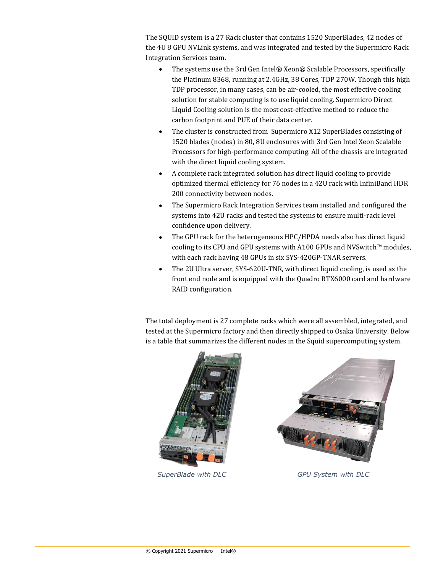The SQUID system is a 27 Rack cluster that contains 1520 SuperBlades, 42 nodes of the 4U 8 GPU NVLink systems, and was integrated and tested by the Supermicro Rack Integration Services team.

- The systems use the 3rd Gen Intel® Xeon® Scalable Processors, specifically the Platinum 8368, running at 2.4GHz, 38 Cores, TDP 270W. Though this high TDP processor, in many cases, can be air-cooled, the most effective cooling solution for stable computing is to use liquid cooling. Supermicro Direct Liquid Cooling solution is the most cost-effective method to reduce the carbon footprint and PUE of their data center.
- The cluster is constructed from Supermicro X12 SuperBlades consisting of 1520 blades (nodes) in 80, 8U enclosures with 3rd Gen Intel Xeon Scalable Processors for high-performance computing. All of the chassis are integrated with the direct liquid cooling system.
- A complete rack integrated solution has direct liquid cooling to provide optimized thermal efficiency for 76 nodes in a 42U rack with InfiniBand HDR 200 connectivity between nodes.
- The Supermicro Rack Integration Services team installed and configured the systems into 42U racks and tested the systems to ensure multi-rack level confidence upon delivery.
- The GPU rack for the heterogeneous HPC/HPDA needs also has direct liquid cooling to its CPU and GPU systems with A100 GPUs and NVSwitch™ modules, with each rack having 48 GPUs in six SYS-420GP-TNAR servers.
- The 2U Ultra server, SYS-620U-TNR, with direct liquid cooling, is used as the front end node and is equipped with the Quadro RTX6000 card and hardware RAID configuration.

The total deployment is 27 complete racks which were all assembled, integrated, and tested at the Supermicro factory and then directly shipped to Osaka University. Below is a table that summarizes the different nodes in the Squid supercomputing system.





*SuperBlade with DLC GPU System with DLC*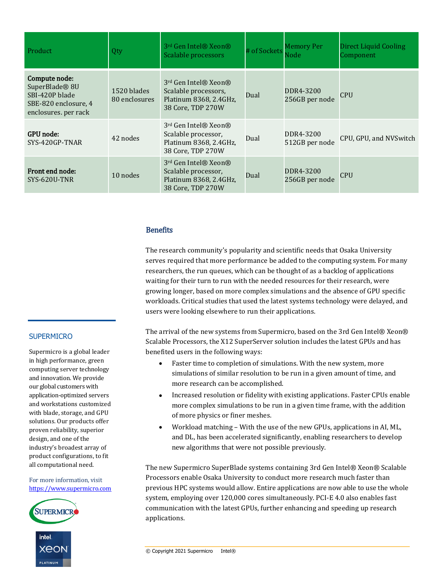| Product                                                                                                       | Qty                          | 3rd Gen Intel® Xeon®<br>Scalable processors                                                             | # of Sockets | <b>Memory Per</b><br>Node   | <b>Direct Liquid Cooling</b><br>Component |
|---------------------------------------------------------------------------------------------------------------|------------------------------|---------------------------------------------------------------------------------------------------------|--------------|-----------------------------|-------------------------------------------|
| Compute node:<br>SuperBlade <sup>®</sup> 8U<br>SBI-420P blade<br>SBE-820 enclosure, 4<br>enclosures. per rack | 1520 blades<br>80 enclosures | 3 <sup>rd</sup> Gen Intel® Xeon®<br>Scalable processors,<br>Platinum 8368, 2.4GHz,<br>38 Core, TDP 270W | Dual         | DDR4-3200<br>256GB per node | <b>CPU</b>                                |
| <b>GPU</b> node:<br>SYS-420GP-TNAR                                                                            | 42 nodes                     | 3 <sup>rd</sup> Gen Intel® Xeon®<br>Scalable processor,<br>Platinum 8368, 2.4GHz,<br>38 Core, TDP 270W  | Dual         | DDR4-3200<br>512GB per node | CPU, GPU, and NVSwitch                    |
| Front end node:<br>SYS-620U-TNR                                                                               | 10 nodes                     | 3rd Gen Intel® Xeon®<br>Scalable processor,<br>Platinum 8368, 2.4GHz,<br>38 Core, TDP 270W              | Dual         | DDR4-3200<br>256GB per node | <b>CPU</b>                                |

## **Benefits**

The research community's popularity and scientific needs that Osaka University serves required that more performance be added to the computing system. For many researchers, the run queues, which can be thought of as a backlog of applications waiting for their turn to run with the needed resources for their research, were growing longer, based on more complex simulations and the absence of GPU specific workloads. Critical studies that used the latest systems technology were delayed, and users were looking elsewhere to run their applications.

The arrival of the new systems from Supermicro, based on the 3rd Gen Intel® Xeon® Scalable Processors, the X12 SuperServer solution includes the latest GPUs and has benefited users in the following ways:

- Faster time to completion of simulations. With the new system, more simulations of similar resolution to be run in a given amount of time, and more research can be accomplished.
- Increased resolution or fidelity with existing applications. Faster CPUs enable more complex simulations to be run in a given time frame, with the addition of more physics or finer meshes.
- Workload matching With the use of the new GPUs, applications in AI, ML, and DL, has been accelerated significantly, enabling researchers to develop new algorithms that were not possible previously.

The new Supermicro SuperBlade systems containing 3rd Gen Intel® Xeon® Scalable Processors enable Osaka University to conduct more research much faster than previous HPC systems would allow. Entire applications are now able to use the whole system, employing over 120,000 cores simultaneously. PCI-E 4.0 also enables fast communication with the latest GPUs, further enhancing and speeding up research applications.

## **SUPERMICRO**

Supermicro is a global leader in high performance, green computing server technology and innovation. We provide our global customers with application-optimized servers and workstations customized with blade, storage, and GPU solutions. Our products offer proven reliability, superior design, and one of the industry's broadest array of product configurations, to fit all computational need.

For more information, visit [https://www.supermicro.com](https://www.supermicro.com/)